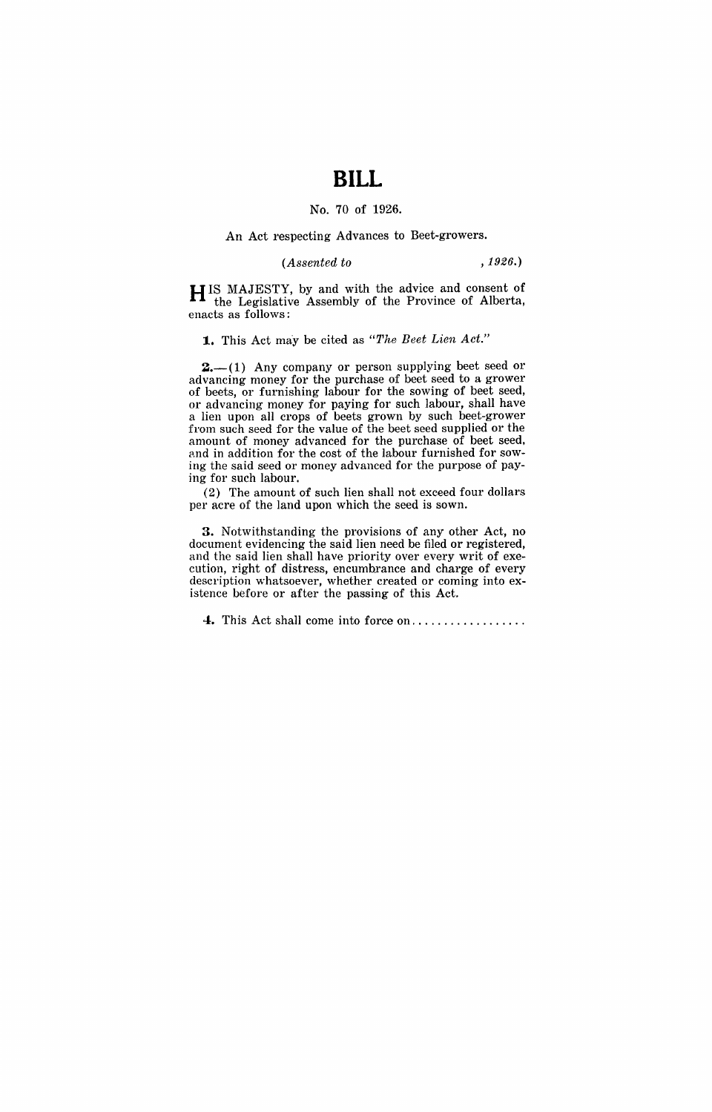# **BILL**

### No. 70 of 1926.

#### An Act respecting Advances to Beet·growers.

#### *(Assented to* ,1926.)

HIS MAJESTY, by and with the advice and consent of the Legislative Assembly of the Province of Alberta, enacts as follows:

#### **1.** This Act may be cited as "The Beet Lien Act."

 $2,-(1)$  Any company or person supplying beet seed or advancing money for the purchase of beet seed to a grower of beets, or furnishing labour for the sowing of beet seed, or advancing money for paying for such labour, shall have a lien upon all crops of beets grown by such beet·grower from such seed for the value of the beet seed supplied or the amount of money advanced for the purchase of beet seed, and in addition for the cost of the labour furnished for sowing the said seed or money advanced for the purpose of paying for such labour.

(2) The amount of such lien shall not exceed four dollars per acre of the land upon which the seed is sown.

3. Notwithstanding the provisions of any other Act, no document evidencing the said lien need be filed or registered, and the said lien shall have priority over every writ of exe· cution, right of distress, encumbrance and charge of every description whatsoever, whether created or coming into ex· istence before or after the passing of this Act.

**4.** This Act shall come into force on ................. .